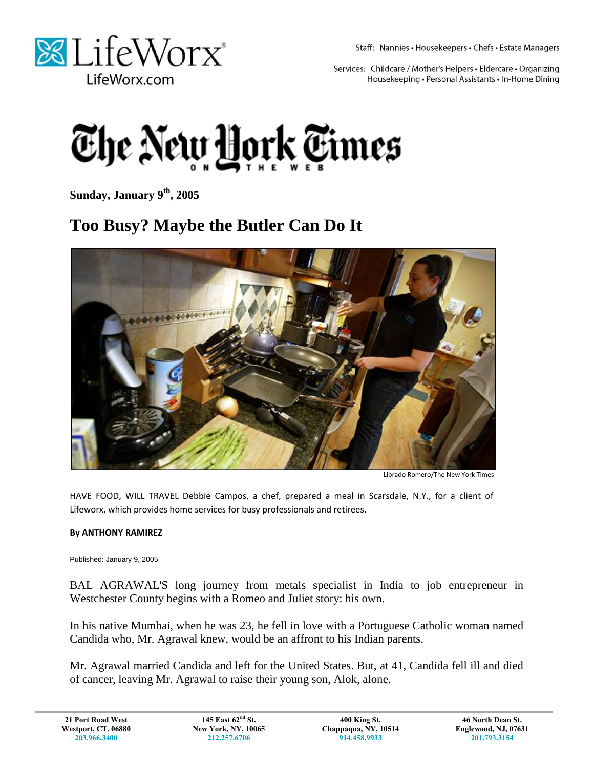

Staff: Nannies · Housekeepers · Chefs · Estate Managers

Services: Childcare / Mother's Helpers · Eldercare · Organizing Housekeeping · Personal Assistants · In-Home Dining



**Sunday, January 9th, 2005**

## **Too Busy? Maybe the Butler Can Do It**



Librado Romero/The New York Times

HAVE FOOD, WILL TRAVEL Debbie Campos, a chef, prepared a meal in Scarsdale, N.Y., for a client of Lifeworx, which provides home services for busy professionals and retirees.

## **By ANTHONY RAMIREZ**

Published: January 9, 2005

BAL AGRAWAL'S long journey from metals specialist in India to job entrepreneur in Westchester County begins with a Romeo and Juliet story: his own.

In his native Mumbai, when he was 23, he fell in love with a Portuguese Catholic woman named Candida who, Mr. Agrawal knew, would be an affront to his Indian parents.

Mr. Agrawal married Candida and left for the United States. But, at 41, Candida fell ill and died of cancer, leaving Mr. Agrawal to raise their young son, Alok, alone.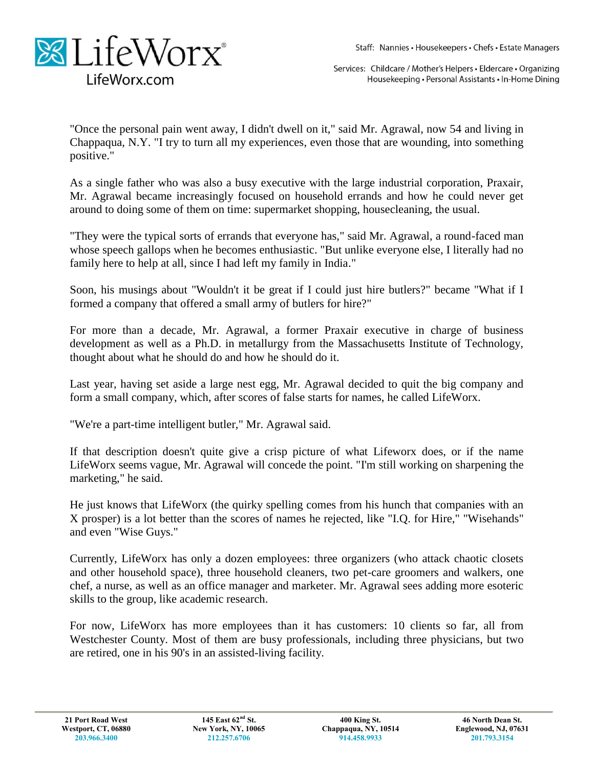

Services: Childcare / Mother's Helpers · Eldercare · Organizing Housekeeping · Personal Assistants · In-Home Dining

"Once the personal pain went away, I didn't dwell on it," said Mr. Agrawal, now 54 and living in Chappaqua, N.Y. "I try to turn all my experiences, even those that are wounding, into something positive."

As a single father who was also a busy executive with the large industrial corporation, Praxair, Mr. Agrawal became increasingly focused on household errands and how he could never get around to doing some of them on time: supermarket shopping, housecleaning, the usual.

"They were the typical sorts of errands that everyone has," said Mr. Agrawal, a round-faced man whose speech gallops when he becomes enthusiastic. "But unlike everyone else, I literally had no family here to help at all, since I had left my family in India."

Soon, his musings about "Wouldn't it be great if I could just hire butlers?" became "What if I formed a company that offered a small army of butlers for hire?"

For more than a decade, Mr. Agrawal, a former Praxair executive in charge of business development as well as a Ph.D. in metallurgy from the Massachusetts Institute of Technology, thought about what he should do and how he should do it.

Last year, having set aside a large nest egg, Mr. Agrawal decided to quit the big company and form a small company, which, after scores of false starts for names, he called LifeWorx.

"We're a part-time intelligent butler," Mr. Agrawal said.

If that description doesn't quite give a crisp picture of what Lifeworx does, or if the name LifeWorx seems vague, Mr. Agrawal will concede the point. "I'm still working on sharpening the marketing," he said.

He just knows that LifeWorx (the quirky spelling comes from his hunch that companies with an X prosper) is a lot better than the scores of names he rejected, like "I.Q. for Hire," "Wisehands" and even "Wise Guys."

Currently, LifeWorx has only a dozen employees: three organizers (who attack chaotic closets and other household space), three household cleaners, two pet-care groomers and walkers, one chef, a nurse, as well as an office manager and marketer. Mr. Agrawal sees adding more esoteric skills to the group, like academic research.

For now, LifeWorx has more employees than it has customers: 10 clients so far, all from Westchester County. Most of them are busy professionals, including three physicians, but two are retired, one in his 90's in an assisted-living facility.